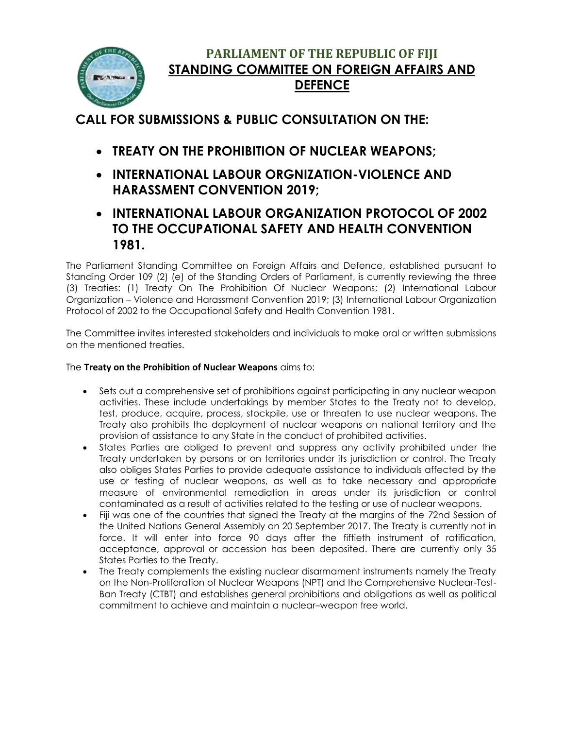

## **PARLIAMENT OF THE REPUBLIC OF FIJI STANDING COMMITTEE ON FOREIGN AFFAIRS AND DEFENCE**

**CALL FOR SUBMISSIONS & PUBLIC CONSULTATION ON THE:**

- **TREATY ON THE PROHIBITION OF NUCLEAR WEAPONS;**
- **INTERNATIONAL LABOUR ORGNIZATION-VIOLENCE AND HARASSMENT CONVENTION 2019;**
- **INTERNATIONAL LABOUR ORGANIZATION PROTOCOL OF 2002 TO THE OCCUPATIONAL SAFETY AND HEALTH CONVENTION 1981.**

The Parliament Standing Committee on Foreign Affairs and Defence, established pursuant to Standing Order 109 (2) (e) of the Standing Orders of Parliament, is currently reviewing the three (3) Treaties: (1) Treaty On The Prohibition Of Nuclear Weapons; (2) International Labour Organization – Violence and Harassment Convention 2019; (3) International Labour Organization Protocol of 2002 to the Occupational Safety and Health Convention 1981.

The Committee invites interested stakeholders and individuals to make oral or written submissions on the mentioned treaties.

## The **Treaty on the Prohibition of Nuclear Weapons** aims to:

- Sets out a comprehensive set of prohibitions against participating in any nuclear weapon activities. These include undertakings by member States to the Treaty not to develop, test, produce, acquire, process, stockpile, use or threaten to use nuclear weapons. The Treaty also prohibits the deployment of nuclear weapons on national territory and the provision of assistance to any State in the conduct of prohibited activities.
- States Parties are obliged to prevent and suppress any activity prohibited under the Treaty undertaken by persons or on territories under its jurisdiction or control. The Treaty also obliges States Parties to provide adequate assistance to individuals affected by the use or testing of nuclear weapons, as well as to take necessary and appropriate measure of environmental remediation in areas under its jurisdiction or control contaminated as a result of activities related to the testing or use of nuclear weapons.
- Fiji was one of the countries that signed the Treaty at the margins of the 72nd Session of the United Nations General Assembly on 20 September 2017. The Treaty is currently not in force. It will enter into force 90 days after the fiftieth instrument of ratification, acceptance, approval or accession has been deposited. There are currently only 35 States Parties to the Treaty.
- The Treaty complements the existing nuclear disarmament instruments namely the Treaty on the Non-Proliferation of Nuclear Weapons (NPT) and the Comprehensive Nuclear-Test-Ban Treaty (CTBT) and establishes general prohibitions and obligations as well as political commitment to achieve and maintain a nuclear–weapon free world.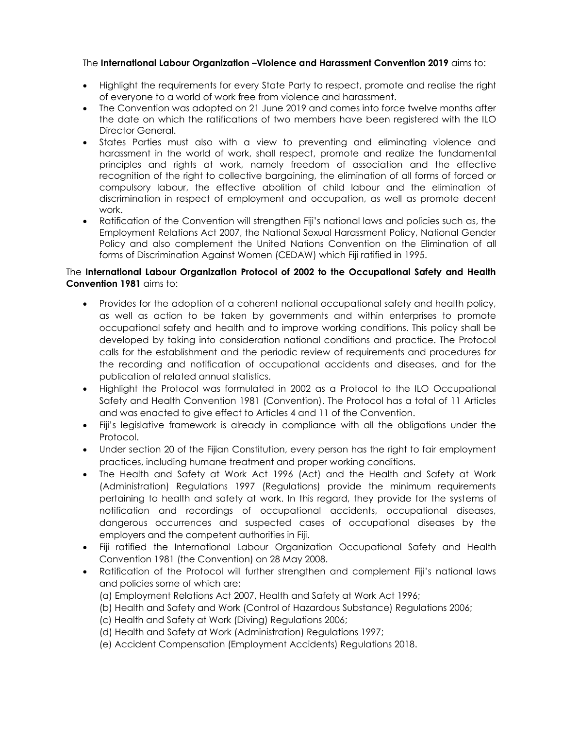## The **International Labour Organization –Violence and Harassment Convention 2019** aims to:

- Highlight the requirements for every State Party to respect, promote and realise the right of everyone to a world of work free from violence and harassment.
- The Convention was adopted on 21 June 2019 and comes into force twelve months after the date on which the ratifications of two members have been registered with the ILO Director General.
- States Parties must also with a view to preventing and eliminating violence and harassment in the world of work, shall respect, promote and realize the fundamental principles and rights at work, namely freedom of association and the effective recognition of the right to collective bargaining, the elimination of all forms of forced or compulsory labour, the effective abolition of child labour and the elimination of discrimination in respect of employment and occupation, as well as promote decent work.
- Ratification of the Convention will strengthen Fiji's national laws and policies such as, the Employment Relations Act 2007, the National Sexual Harassment Policy, National Gender Policy and also complement the United Nations Convention on the Elimination of all forms of Discrimination Against Women (CEDAW) which Fiji ratified in 1995.

## The **International Labour Organization Protocol of 2002 to the Occupational Safety and Health Convention 1981** aims to:

- Provides for the adoption of a coherent national occupational safety and health policy, as well as action to be taken by governments and within enterprises to promote occupational safety and health and to improve working conditions. This policy shall be developed by taking into consideration national conditions and practice. The Protocol calls for the establishment and the periodic review of requirements and procedures for the recording and notification of occupational accidents and diseases, and for the publication of related annual statistics.
- Highlight the Protocol was formulated in 2002 as a Protocol to the ILO Occupational Safety and Health Convention 1981 (Convention). The Protocol has a total of 11 Articles and was enacted to give effect to Articles 4 and 11 of the Convention.
- Fiji's legislative framework is already in compliance with all the obligations under the Protocol.
- Under section 20 of the Fijian Constitution, every person has the right to fair employment practices, including humane treatment and proper working conditions.
- The Health and Safety at Work Act 1996 (Act) and the Health and Safety at Work (Administration) Regulations 1997 (Regulations) provide the minimum requirements pertaining to health and safety at work. In this regard, they provide for the systems of notification and recordings of occupational accidents, occupational diseases, dangerous occurrences and suspected cases of occupational diseases by the employers and the competent authorities in Fiji.
- Fiji ratified the International Labour Organization Occupational Safety and Health Convention 1981 (the Convention) on 28 May 2008.
- Ratification of the Protocol will further strengthen and complement Fiji's national laws and policies some of which are:
	- (a) Employment Relations Act 2007, Health and Safety at Work Act 1996;
	- (b) Health and Safety and Work (Control of Hazardous Substance) Regulations 2006;
	- (c) Health and Safety at Work (Diving) Regulations 2006;
	- (d) Health and Safety at Work (Administration) Regulations 1997;
	- (e) Accident Compensation (Employment Accidents) Regulations 2018.